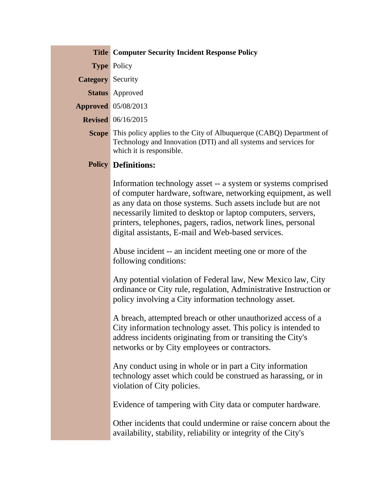|                          | <b>Title Computer Security Incident Response Policy</b>                                                                                                                                                                                                                                                                                                                                |
|--------------------------|----------------------------------------------------------------------------------------------------------------------------------------------------------------------------------------------------------------------------------------------------------------------------------------------------------------------------------------------------------------------------------------|
|                          | <b>Type Policy</b>                                                                                                                                                                                                                                                                                                                                                                     |
| <b>Category</b> Security |                                                                                                                                                                                                                                                                                                                                                                                        |
|                          | <b>Status</b> Approved                                                                                                                                                                                                                                                                                                                                                                 |
|                          | <b>Approved</b> 05/08/2013                                                                                                                                                                                                                                                                                                                                                             |
|                          | <b>Revised</b> 06/16/2015                                                                                                                                                                                                                                                                                                                                                              |
|                          | <b>Scope</b> This policy applies to the City of Albuquerque (CABQ) Department of<br>Technology and Innovation (DTI) and all systems and services for<br>which it is responsible.                                                                                                                                                                                                       |
|                          | <b>Policy Definitions:</b>                                                                                                                                                                                                                                                                                                                                                             |
|                          | Information technology asset -- a system or systems comprised<br>of computer hardware, software, networking equipment, as well<br>as any data on those systems. Such assets include but are not<br>necessarily limited to desktop or laptop computers, servers,<br>printers, telephones, pagers, radios, network lines, personal<br>digital assistants, E-mail and Web-based services. |
|                          | Abuse incident -- an incident meeting one or more of the<br>following conditions:                                                                                                                                                                                                                                                                                                      |
|                          | Any potential violation of Federal law, New Mexico law, City<br>ordinance or City rule, regulation, Administrative Instruction or<br>policy involving a City information technology asset.                                                                                                                                                                                             |
|                          | A breach, attempted breach or other unauthorized access of a<br>City information technology asset. This policy is intended to<br>address incidents originating from or transiting the City's<br>networks or by City employees or contractors.                                                                                                                                          |
|                          | Any conduct using in whole or in part a City information<br>technology asset which could be construed as harassing, or in<br>violation of City policies.                                                                                                                                                                                                                               |
|                          | Evidence of tampering with City data or computer hardware.                                                                                                                                                                                                                                                                                                                             |
|                          | Other incidents that could undermine or raise concern about the<br>availability, stability, reliability or integrity of the City's                                                                                                                                                                                                                                                     |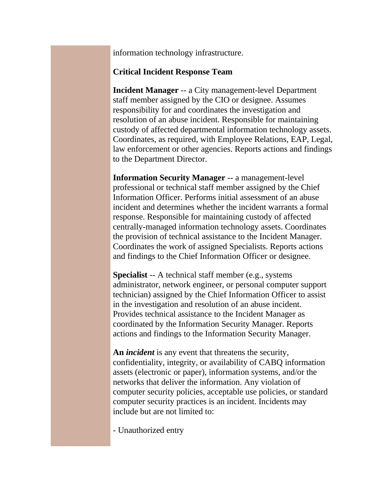information technology infrastructure.

## **Critical Incident Response Team**

**Incident Manager** -- a City management-level Department staff member assigned by the CIO or designee. Assumes responsibility for and coordinates the investigation and resolution of an abuse incident. Responsible for maintaining custody of affected departmental information technology assets. Coordinates, as required, with Employee Relations, EAP, Legal, law enforcement or other agencies. Reports actions and findings to the Department Director.

**Information Security Manager** -- a management-level professional or technical staff member assigned by the Chief Information Officer. Performs initial assessment of an abuse incident and determines whether the incident warrants a formal response. Responsible for maintaining custody of affected centrally-managed information technology assets. Coordinates the provision of technical assistance to the Incident Manager. Coordinates the work of assigned Specialists. Reports actions and findings to the Chief Information Officer or designee.

**Specialist** -- A technical staff member (e.g., systems administrator, network engineer, or personal computer support technician) assigned by the Chief Information Officer to assist in the investigation and resolution of an abuse incident. Provides technical assistance to the Incident Manager as coordinated by the Information Security Manager. Reports actions and findings to the Information Security Manager.

**An** *incident* is any event that threatens the security, confidentiality, integrity, or availability of CABQ information assets (electronic or paper), information systems, and/or the networks that deliver the information. Any violation of computer security policies, acceptable use policies, or standard computer security practices is an incident. Incidents may include but are not limited to:

- Unauthorized entry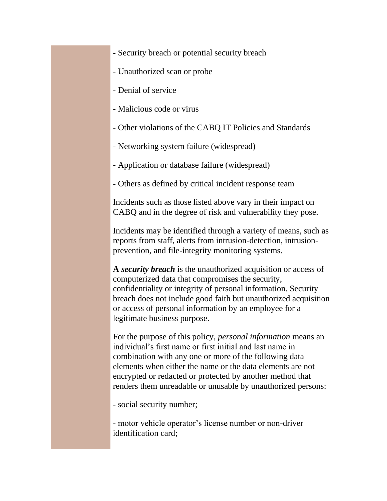- Security breach or potential security breach
- Unauthorized scan or probe
- Denial of service
- Malicious code or virus
- Other violations of the CABQ IT Policies and Standards
- Networking system failure (widespread)
- Application or database failure (widespread)
- Others as defined by critical incident response team

Incidents such as those listed above vary in their impact on CABQ and in the degree of risk and vulnerability they pose.

Incidents may be identified through a variety of means, such as reports from staff, alerts from intrusion-detection, intrusionprevention, and file-integrity monitoring systems.

**A** *security breach* is the unauthorized acquisition or access of computerized data that compromises the security, confidentiality or integrity of personal information. Security breach does not include good faith but unauthorized acquisition or access of personal information by an employee for a legitimate business purpose.

For the purpose of this policy, *personal information* means an individual's first name or first initial and last name in combination with any one or more of the following data elements when either the name or the data elements are not encrypted or redacted or protected by another method that renders them unreadable or unusable by unauthorized persons:

- social security number;

- motor vehicle operator's license number or non-driver identification card;